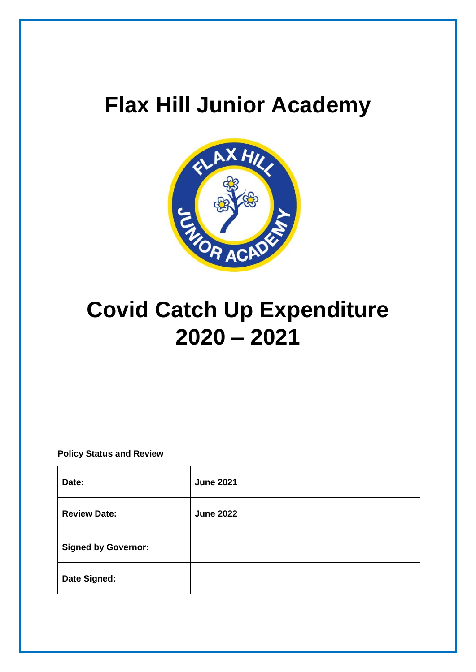# **Flax Hill Junior Academy**



# **Covid Catch Up Expenditure 2020 – 2021**

## **Policy Status and Review**

| Date:                      | <b>June 2021</b> |
|----------------------------|------------------|
| <b>Review Date:</b>        | <b>June 2022</b> |
| <b>Signed by Governor:</b> |                  |
| Date Signed:               |                  |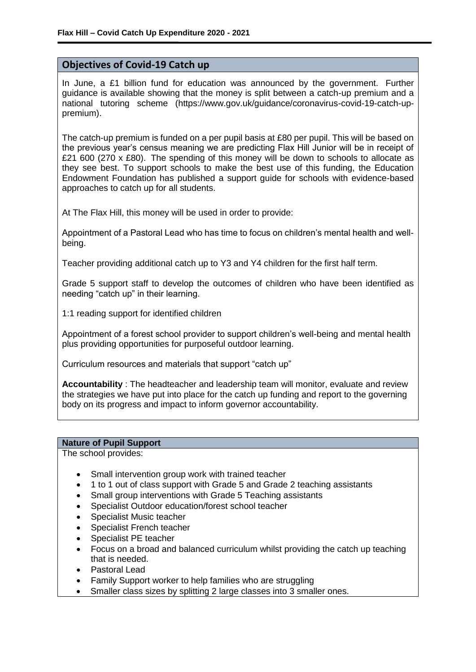## **Objectives of Covid-19 Catch up**

In June, a £1 billion fund for education was announced by the government. Further guidance is available showing that the money is split between a catch-up premium and a national tutoring scheme (https://www.gov.uk/guidance/coronavirus-covid-19-catch-uppremium).

The catch-up premium is funded on a per pupil basis at £80 per pupil. This will be based on the previous year's census meaning we are predicting Flax Hill Junior will be in receipt of £21 600 (270 x £80). The spending of this money will be down to schools to allocate as they see best. To support schools to make the best use of this funding, the Education Endowment Foundation has published a support guide for schools with evidence-based approaches to catch up for all students.

At The Flax Hill, this money will be used in order to provide:

 Appointment of a Pastoral Lead who has time to focus on children's mental health and wellbeing.

Teacher providing additional catch up to Y3 and Y4 children for the first half term.

 Grade 5 support staff to develop the outcomes of children who have been identified as needing "catch up" in their learning.

1:1 reading support for identified children

 Appointment of a forest school provider to support children's well-being and mental health plus providing opportunities for purposeful outdoor learning.

Curriculum resources and materials that support "catch up"

**Accountability** : The headteacher and leadership team will monitor, evaluate and review the strategies we have put into place for the catch up funding and report to the governing body on its progress and impact to inform governor accountability.

## **Nature of Pupil Support**

The school provides:

- Small intervention group work with trained teacher
- 1 to 1 out of class support with Grade 5 and Grade 2 teaching assistants
- Small group interventions with Grade 5 Teaching assistants
- Specialist Outdoor education/forest school teacher
- Specialist Music teacher
- Specialist French teacher
- Specialist PE teacher
- Focus on a broad and balanced curriculum whilst providing the catch up teaching that is needed.
- Pastoral Lead
- Family Support worker to help families who are struggling
- Smaller class sizes by splitting 2 large classes into 3 smaller ones.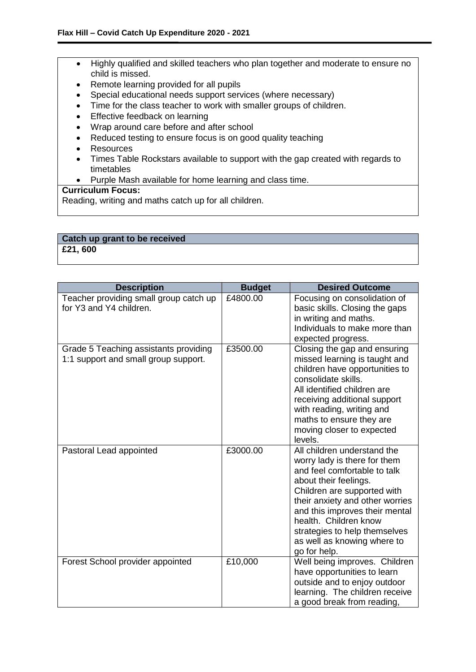- Highly qualified and skilled teachers who plan together and moderate to ensure no child is missed.
- Remote learning provided for all pupils
- Special educational needs support services (where necessary)
- Time for the class teacher to work with smaller groups of children.
- Effective feedback on learning
- Wrap around care before and after school
- Reduced testing to ensure focus is on good quality teaching
- Resources
- Times Table Rockstars available to support with the gap created with regards to timetables
- Purple Mash available for home learning and class time.

## **Curriculum Focus:**

Reading, writing and maths catch up for all children.

#### **Catch up grant to be received £21, 600**

| <b>Description</b>                                                            | <b>Budget</b> | <b>Desired Outcome</b>                                                                                                                                                                                                                                                                                                            |
|-------------------------------------------------------------------------------|---------------|-----------------------------------------------------------------------------------------------------------------------------------------------------------------------------------------------------------------------------------------------------------------------------------------------------------------------------------|
| Teacher providing small group catch up<br>for Y3 and Y4 children.             | £4800.00      | Focusing on consolidation of<br>basic skills. Closing the gaps<br>in writing and maths.<br>Individuals to make more than<br>expected progress.                                                                                                                                                                                    |
| Grade 5 Teaching assistants providing<br>1:1 support and small group support. | £3500.00      | Closing the gap and ensuring<br>missed learning is taught and<br>children have opportunities to<br>consolidate skills.<br>All identified children are<br>receiving additional support<br>with reading, writing and<br>maths to ensure they are<br>moving closer to expected<br>levels.                                            |
| Pastoral Lead appointed                                                       | £3000.00      | All children understand the<br>worry lady is there for them<br>and feel comfortable to talk<br>about their feelings.<br>Children are supported with<br>their anxiety and other worries<br>and this improves their mental<br>health. Children know<br>strategies to help themselves<br>as well as knowing where to<br>go for help. |
| Forest School provider appointed                                              | £10,000       | Well being improves. Children<br>have opportunities to learn<br>outside and to enjoy outdoor<br>learning. The children receive<br>a good break from reading,                                                                                                                                                                      |